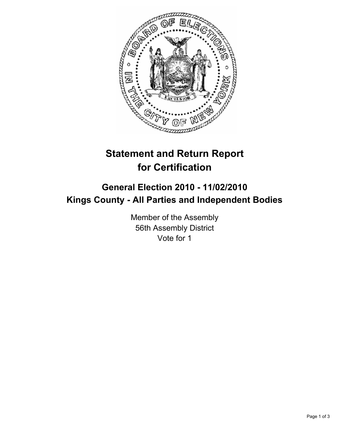

# **Statement and Return Report for Certification**

## **General Election 2010 - 11/02/2010 Kings County - All Parties and Independent Bodies**

Member of the Assembly 56th Assembly District Vote for 1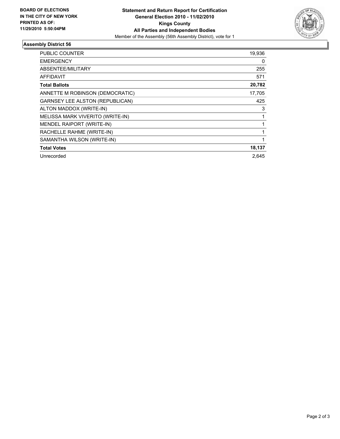

### **Assembly District 56**

| PUBLIC COUNTER                         | 19,936 |
|----------------------------------------|--------|
| <b>EMERGENCY</b>                       | 0      |
| ABSENTEE/MILITARY                      | 255    |
| AFFIDAVIT                              | 571    |
| <b>Total Ballots</b>                   | 20,782 |
| ANNETTE M ROBINSON (DEMOCRATIC)        | 17,705 |
| <b>GARNSEY LEE ALSTON (REPUBLICAN)</b> | 425    |
| ALTON MADDOX (WRITE-IN)                | 3      |
| MELISSA MARK VIVERITO (WRITE-IN)       | 1      |
| MENDEL RAIPORT (WRITE-IN)              |        |
| RACHELLE RAHME (WRITE-IN)              | 1      |
| SAMANTHA WILSON (WRITE-IN)             |        |
| <b>Total Votes</b>                     | 18,137 |
| Unrecorded                             | 2.645  |